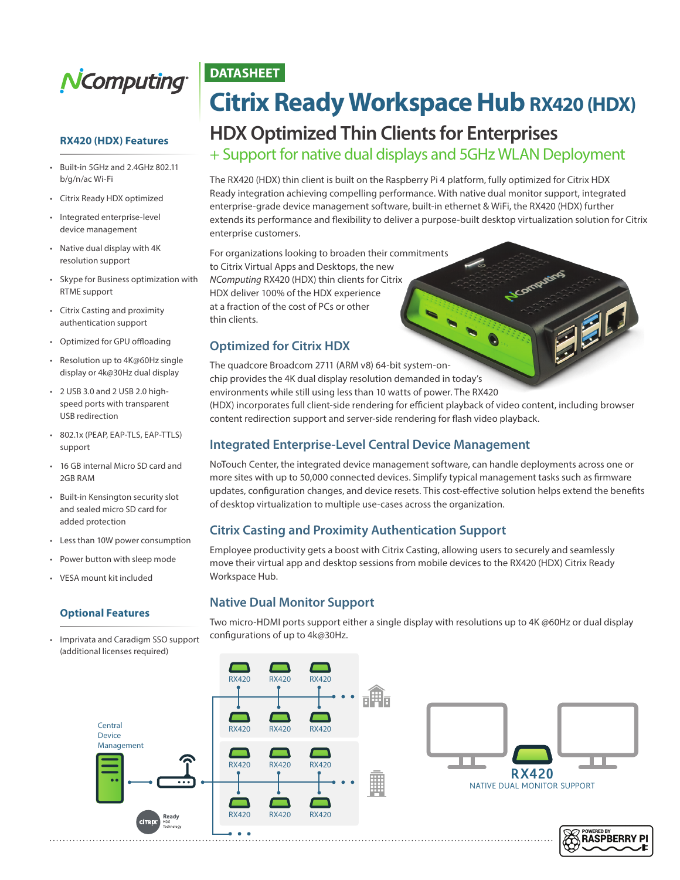

#### **RX420 (HDX) Features**

- Built-in 5GHz and 2.4GHz 802.11 b/g/n/ac Wi-Fi
- Citrix Ready HDX optimized
- Integrated enterprise-level device management
- Native dual display with 4K resolution support
- Skype for Business optimization with RTME support
- Citrix Casting and proximity authentication support
- Optimized for GPU offloading
- Resolution up to 4K@60Hz single display or 4k@30Hz dual display
- 2 USB 3.0 and 2 USB 2.0 highspeed ports with transparent USB redirection
- 802.1x (PEAP, EAP-TLS, EAP-TTLS) support
- 16 GB internal Micro SD card and 2GB RAM
- Built-in Kensington security slot and sealed micro SD card for added protection
- Less than 10W power consumption
- Power button with sleep mode
- VESA mount kit included

#### **Optional Features**

. . . . . . . . . . . . . . . . . . .

• Imprivata and Caradigm SSO support (additional licenses required)

# **Citrix Ready Workspace Hub RX420 (HDX)**

# **HDX Optimized Thin Clients for Enterprises**  + Support for native dual displays and 5GHz WLAN Deployment

The RX420 (HDX) thin client is built on the Raspberry Pi 4 platform, fully optimized for Citrix HDX Ready integration achieving compelling performance. With native dual monitor support, integrated enterprise-grade device management software, built-in ethernet & WiFi, the RX420 (HDX) further extends its performance and flexibility to deliver a purpose-built desktop virtualization solution for Citrix enterprise customers.

For organizations looking to broaden their commitments to Citrix Virtual Apps and Desktops, the new *NComputing* RX420 (HDX) thin clients for Citrix HDX deliver 100% of the HDX experience at a fraction of the cost of PCs or other thin clients.

# **Optimized for Citrix HDX**

**DATASHEET**

**READER** The quadcore Broadcom 2711 (ARM v8) 64-bit system-onchip provides the 4K dual display resolution demanded in today's environments while still using less than 10 watts of power. The RX420 (HDX) incorporates full client-side rendering for efficient playback of video content, including browser content redirection support and server-side rendering for flash video playback.

# **Integrated Enterprise-Level Central Device Management**

NoTouch Center, the integrated device management software, can handle deployments across one or more sites with up to 50,000 connected devices. Simplify typical management tasks such as firmware updates, configuration changes, and device resets. This cost-effective solution helps extend the benefits of desktop virtualization to multiple use-cases across the organization.

# **Citrix Casting and Proximity Authentication Support**

Employee productivity gets a boost with Citrix Casting, allowing users to securely and seamlessly move their virtual app and desktop sessions from mobile devices to the RX420 (HDX) Citrix Ready Workspace Hub.

# **Native Dual Monitor Support**

Two micro-HDMI ports support either a single display with resolutions up to 4K @60Hz or dual display configurations of up to 4k@30Hz.





N Computeres